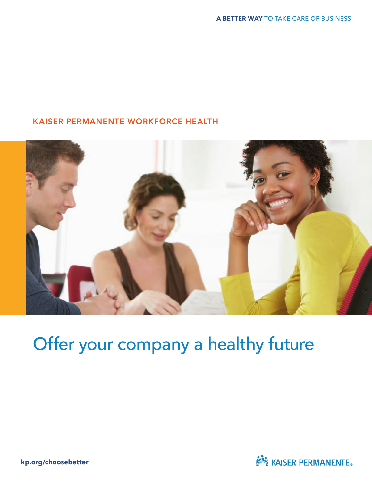#### KAISER PERMANENTE WORKFORCE HEALTH



## Offer your company a healthy future

**kp.org/choosebetter**

**NOW KAISER PERMANENTE.**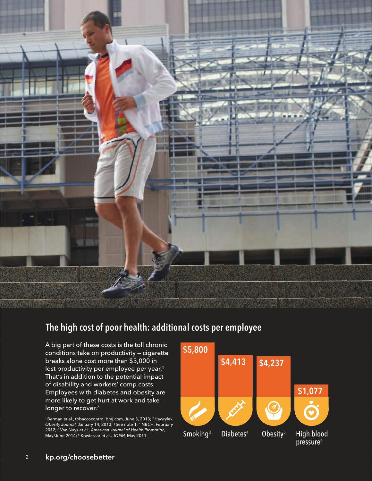

#### The high cost of poor health: additional costs per employee

A big part of these costs is the toll chronic<br>
conditions take on productivity – cigarette conditions take on productivity — cigarette breaks alone cost more than \$3,000 in lost productivity per employee per year.<sup>1</sup> That's in addition to the potential impact of disability and workers' comp costs. Employees with diabetes and obesity are more likely to get hurt at work and take longer to recover.<sup>2</sup>

<sup>1</sup> Berman et al., tobaccocontrol.bmj.com, June 3, 2013; <sup>2</sup> Hawrylak,<br>*Obesity Journal,* January 14, 2013; <sup>3</sup> See note 1; <sup>4</sup> NBCH, February 2012; <sup>5</sup> Van Nuys et al., American Journal of Health Promotion, May/June 2014; <sup>6</sup> Kowlessar et al., JOEM, May 2011.

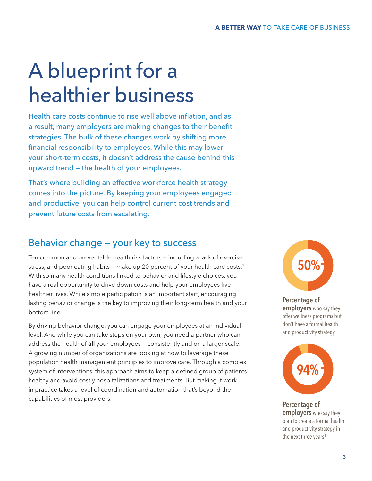# A blueprint for a healthier business

Health care costs continue to rise well above inflation, and as a result, many employers are making changes to their benefit strategies. The bulk of these changes work by shifting more financial responsibility to employees. While this may lower your short-term costs, it doesn't address the cause behind this upward trend — the health of your employees.

That's where building an effective workforce health strategy comes into the picture. By keeping your employees engaged and productive, you can help control current cost trends and prevent future costs from escalating.

#### Behavior change — your key to success

Ten common and preventable health risk factors — including a lack of exercise, stress, and poor eating habits – make up 20 percent of your health care costs.<sup>1</sup> With so many health conditions linked to behavior and lifestyle choices, you have a real opportunity to drive down costs and help your employees live healthier lives. While simple participation is an important start, encouraging lasting behavior change is the key to improving their long-term health and your bottom line.

By driving behavior change, you can engage your employees at an individual level. And while you can take steps on your own, you need a partner who can address the health of all your employees - consistently and on a larger scale. A growing number of organizations are looking at how to leverage these population health management principles to improve care. Through a complex system of interventions, this approach aims to keep a defined group of patients healthy and avoid costly hospitalizations and treatments. But making it work in practice takes a level of coordination and automation that's beyond the capabilities of most providers.



Percentage of employers who say they offer wellness programs but don't have a formal health and productivity strategy



Percentage of employers who say they plan to create a formal health and productivity strategy in the next three years<sup>2</sup>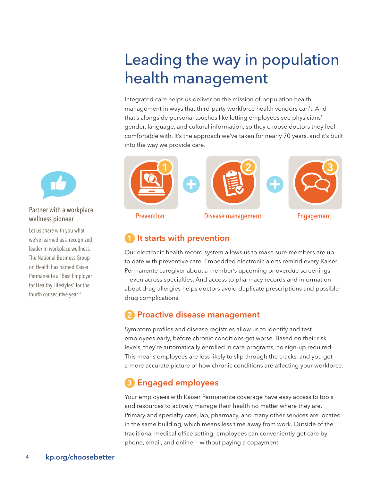### Leading the way in population health management

Integrated care helps us deliver on the mission of population health management in ways that third-party workforce health vendors can't. And that's alongside personal touches like letting employees see physicians' gender, language, and cultural information, so they choose doctors they feel comfortable with. It's the approach we've taken for nearly 70 years, and it's built into the way we provide care.



#### It starts with prevention

Our electronic health record system allows us to make sure members are up to date with preventive care. Embedded electronic alerts remind every Kaiser Permanente caregiver about a member's upcoming or overdue screenings — even across specialties. And access to pharmacy records and information about drug allergies helps doctors avoid duplicate prescriptions and possible drug complications.

#### 2 Proactive disease management

Symptom profiles and disease registries allow us to identify and test employees early, before chronic conditions get worse. Based on their risk levels, they're automatically enrolled in care programs, no sign-up required. This means employees are less likely to slip through the cracks, and you get a more accurate picture of how chronic conditions are affecting your workforce.

#### 3 Engaged employees

Your employees with Kaiser Permanente coverage have easy access to tools and resources to actively manage their health no matter where they are. Primary and specialty care, lab, pharmacy, and many other services are located in the same building, which means less time away from work. Outside of the traditional medical office setting, employees can conveniently get care by phone, email, and online — without paying a copayment.



Partner with a workplace wellness pioneer

Let us share with you what we've learned as a recognized leader in workplace wellness. The National Business Group on Health has named Kaiser Permanente a "Best Employer for Healthy Lifestyles" for the fourth consecutive year.3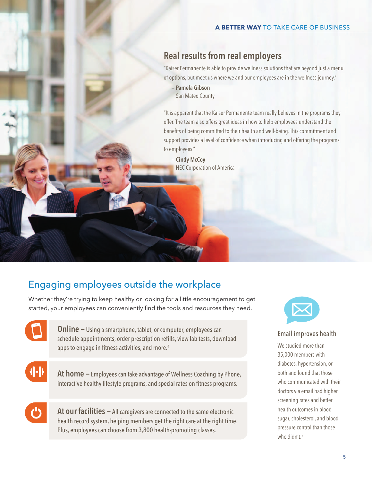#### Real results from real employers

"Kaiser Permanente is able to provide wellness solutions that are beyond just a menu of options, but meet us where we and our employees are in the wellness journey."

 — Pamela Gibson San Mateo County

"It is apparent that the Kaiser Permanente team really believes in the programs they offer. The team also offers great ideas in how to help employees understand the benefits of being committed to their health and well-being. This commitment and support provides a level of confidence when introducing and offering the programs to employees."

 — Cindy McCoy NEC Corporation of America

#### Engaging employees outside the workplace

Whether they're trying to keep healthy or looking for a little encouragement to get started, your employees can conveniently find the tools and resources they need.

> **Online –** Using a smartphone, tablet, or computer, employees can schedule appointments, order prescription refills, view lab tests, download apps to engage in fitness activities, and more.4

╢╢

At home – Employees can take advantage of Wellness Coaching by Phone, interactive healthy lifestyle programs, and special rates on fitness programs.

At our facilities – All caregivers are connected to the same electronic health record system, helping members get the right care at the right time. Plus, employees can choose from 3,800 health-promoting classes.



#### Email improves health

We studied more than 35,000 members with diabetes, hypertension, or both and found that those who communicated with their doctors via email had higher screening rates and better health outcomes in blood sugar, cholesterol, and blood pressure control than those who didn't.<sup>5</sup>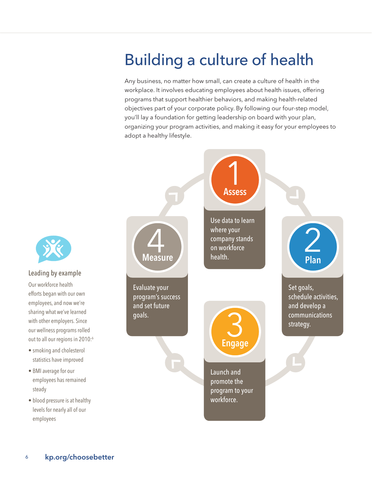### Building a culture of health

Any business, no matter how small, can create a culture of health in the workplace. It involves educating employees about health issues, offering programs that support healthier behaviors, and making health-related objectives part of your corporate policy. By following our four-step model, you'll lay a foundation for getting leadership on board with your plan, organizing your program activities, and making it easy for your employees to adopt a healthy lifestyle.





#### Leading by example

Our workforce health efforts began with our own employees, and now we're sharing what we've learned with other employers. Since our wellness programs rolled out to all our regions in 2010:<sup>6</sup>

- smoking and cholesterol statistics have improved
- BMI average for our employees has remained steady
- blood pressure is at healthy levels for nearly all of our employees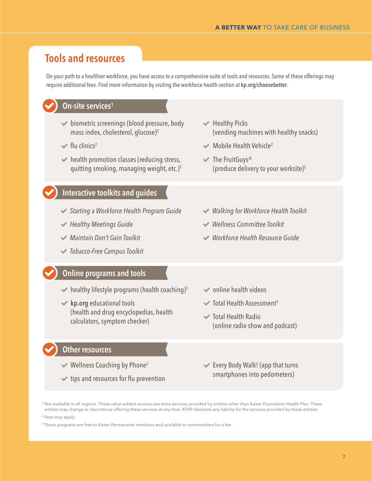### Tools and resources

On your path to a healthier workforce, you have access to a comprehensive suite of tools and resources. Some of these offerings may require additional fees. Find more information by visiting the workforce health section at kp.org/choosebetter.

|                                                                                                                                                                                                                                                                                                                                                    | On-site services <sup>1</sup>                                                                                             |                                                                                          |
|----------------------------------------------------------------------------------------------------------------------------------------------------------------------------------------------------------------------------------------------------------------------------------------------------------------------------------------------------|---------------------------------------------------------------------------------------------------------------------------|------------------------------------------------------------------------------------------|
|                                                                                                                                                                                                                                                                                                                                                    | ◆ biometric screenings (blood pressure, body<br>mass index, cholesterol, glucose) <sup>2</sup>                            | $\blacktriangleright$ Healthy Picks<br>(vending machines with healthy snacks)            |
|                                                                                                                                                                                                                                                                                                                                                    | $\blacktriangleright$ flu clinics <sup>2</sup>                                                                            | $\blacktriangleright$ Mobile Health Vehicle <sup>2</sup>                                 |
|                                                                                                                                                                                                                                                                                                                                                    | $\blacktriangleright$ health promotion classes (reducing stress,<br>quitting smoking, managing weight, etc.) <sup>2</sup> | $\blacktriangleright$ The FruitGuys®<br>(produce delivery to your worksite) <sup>2</sup> |
|                                                                                                                                                                                                                                                                                                                                                    | <b>Interactive toolkits and guides</b>                                                                                    |                                                                                          |
|                                                                                                                                                                                                                                                                                                                                                    | <b>◆ Starting a Workforce Health Program Guide</b>                                                                        | ◆ Walking for Workforce Health Toolkit                                                   |
|                                                                                                                                                                                                                                                                                                                                                    | $\blacktriangleright$ Healthy Meetings Guide                                                                              | <b>◆ Wellness Committee Toolkit</b>                                                      |
|                                                                                                                                                                                                                                                                                                                                                    | ← Maintain Don't Gain Toolkit                                                                                             | ◆ Workforce Health Resource Guide                                                        |
|                                                                                                                                                                                                                                                                                                                                                    | <b>◆ Tobacco-Free Campus Toolkit</b>                                                                                      |                                                                                          |
|                                                                                                                                                                                                                                                                                                                                                    | <b>Online programs and tools</b>                                                                                          |                                                                                          |
|                                                                                                                                                                                                                                                                                                                                                    | $\blacktriangleright$ healthy lifestyle programs (health coaching) <sup>3</sup>                                           | <b>◆</b> online health videos                                                            |
|                                                                                                                                                                                                                                                                                                                                                    | $\blacktriangleright$ kp.org educational tools                                                                            | $\blacktriangleright$ Total Health Assessment <sup>3</sup>                               |
|                                                                                                                                                                                                                                                                                                                                                    | (health and drug encyclopedias, health<br>calculators, symptom checker)                                                   | $\blacktriangleright$ Total Health Radio<br>(online radio show and podcast)              |
|                                                                                                                                                                                                                                                                                                                                                    | Other resources                                                                                                           |                                                                                          |
|                                                                                                                                                                                                                                                                                                                                                    | $\blacktriangleright$ Wellness Coaching by Phone <sup>3</sup>                                                             | $\blacktriangleright$ Every Body Walk! (app that turns                                   |
|                                                                                                                                                                                                                                                                                                                                                    | <b>↓</b> tips and resources for flu prevention                                                                            | smartphones into pedometers)                                                             |
| <sup>1</sup> Not available in all regions. These value-added services are extra services provided by entities other than Kaiser Foundation Health Plan. These<br>entities may change or discontinue offering these services at any time. KFHP disclaims any liability for the services provided by these entities.<br><sup>2</sup> Fees may apply. |                                                                                                                           |                                                                                          |

<sup>3</sup> These programs are free to Kaiser Permanente members and available to nonmembers for a fee.